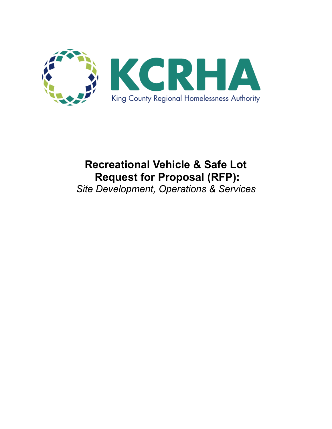

# **Recreational Vehicle & Safe Lot Request for Proposal (RFP):**

*Site Development, Operations & Services*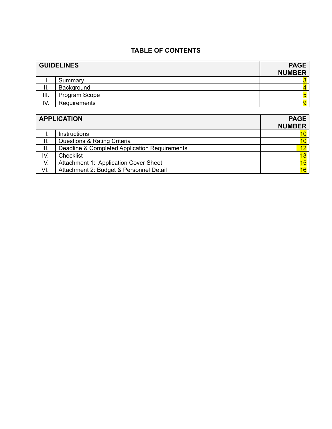# **TABLE OF CONTENTS**

| <b>GUIDELINES</b> |               | <b>PAGE</b><br><b>NUMBER</b> |
|-------------------|---------------|------------------------------|
|                   | Summary       |                              |
| ΙΙ.               | Background    |                              |
| III.              | Program Scope |                              |
| IV.               | Requirements  |                              |

| <b>APPLICATION</b> |                                               | <b>PAGE</b>     |
|--------------------|-----------------------------------------------|-----------------|
|                    |                                               | <b>NUMBER</b>   |
|                    | <b>Instructions</b>                           | 10              |
| ΙΙ.                | Questions & Rating Criteria                   | 10 <sub>1</sub> |
| III.               | Deadline & Completed Application Requirements | 12              |
| IV.                | Checklist                                     | 13              |
| V.                 | Attachment 1: Application Cover Sheet         | 15              |
| VI.                | Attachment 2: Budget & Personnel Detail       | 16              |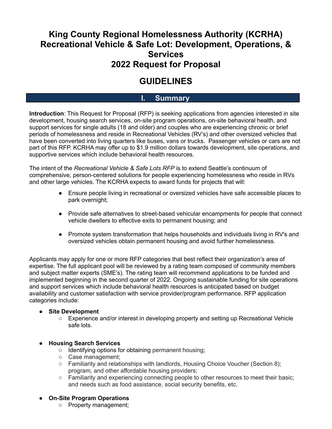# **King County Regional Homelessness Authority (KCRHA) Recreational Vehicle & Safe Lot: Development, Operations, & Services 2022 Request for Proposal**

# **GUIDELINES**

# **I. Summary**

**Introduction**: This Request for Proposal (RFP) is seeking applications from agencies interested in site development, housing search services, on-site program operations, on-site behavioral health, and support services for single adults (18 and older) and couples who are experiencing chronic or brief periods of homelessness and reside in Recreational Vehicles (RV's) and other oversized vehicles that have been converted into living quarters like buses, vans or trucks. Passenger vehicles or cars are not part of this RFP. KCRHA may offer up to \$1.9 million dollars towards development, site operations, and supportive services which include behavioral health resources.

The intent of the *Recreational Vehicle & Safe Lots RFP* is to extend Seattle's continuum of comprehensive, person-centered solutions for people experiencing homelessness who reside in RVs and other large vehicles. The KCRHA expects to award funds for projects that will:

- Ensure people living in recreational or oversized vehicles have safe accessible places to park overnight;
- Provide safe alternatives to street-based vehicular encampments for people that connect vehicle dwellers to effective exits to permanent housing; and
- Promote system transformation that helps households and individuals living in RV's and oversized vehicles obtain permanent housing and avoid further homelessness.

Applicants may apply for one or more RFP categories that best reflect their organization's area of expertise. The full applicant pool will be reviewed by a rating team composed of community members and subject matter experts (SME's). The rating team will recommend applications to be funded and implemented beginning in the second quarter of 2022. Ongoing sustainable funding for site operations and support services which include behavioral health resources is anticipated based on budget availability and customer satisfaction with service provider/program performance. RFP application categories include:

#### **● Site Development**

**○** Experience and/or interest in developing property and setting up Recreational Vehicle safe lots.

## **● Housing Search Services**

- Identifying options for obtaining permanent housing;
- Case management;
- Familiarity and relationships with landlords, Housing Choice Voucher (Section 8); program, and other affordable housing providers;
- Familiarity and experiencing connecting people to other resources to meet their basic; and needs such as food assistance, social security benefits, etc.

## ● **On-Site Program Operations**

○ Property management;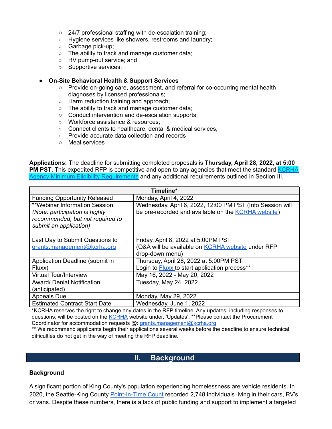- 24/7 professional staffing with de-escalation training;
- Hygiene services like showers, restrooms and laundry;
- Garbage pick-up;
- The ability to track and manage customer data;
- RV pump-out service; and
- Supportive services.
- **● On-Site Behavioral Health & Support Services**
	- Provide on-going care, assessment, and referral for co-occurring mental health diagnoses by licensed professionals;
	- Harm reduction training and approach;
	- The ability to track and manage customer data;
	- Conduct intervention and de-escalation supports;
	- Workforce assistance & resources;
	- Connect clients to healthcare, dental & medical services,
	- Provide accurate data collection and records
	- Meal services

**Applications:** The deadline for submitting completed proposals is **Thursday, April 28, 2022, at 5:00 PM PST**. This expedited RFP is competitive and open to any agencies that meet the standard **[KCRHA](https://kcrha.org/funding-opportunities/)** Agency Minimum Eligibility [Requirements](https://kcrha.org/funding-opportunities/) and any additional requirements outlined in Section III.

| Timeline*                                                                                                                     |                                                                                                                         |  |  |
|-------------------------------------------------------------------------------------------------------------------------------|-------------------------------------------------------------------------------------------------------------------------|--|--|
| <b>Funding Opportunity Released</b>                                                                                           | Monday, April 4, 2022                                                                                                   |  |  |
| **Webinar Information Session<br>(Note: participation is highly<br>recommended, but not required to<br>submit an application) | Wednesday, April 6, 2022, 12:00 PM PST (Info Session will<br>be pre-recorded and available on the <b>KCRHA</b> website) |  |  |
| Last Day to Submit Questions to                                                                                               | Friday, April 8, 2022 at 5:00PM PST                                                                                     |  |  |
| grants.management@kcrha.org                                                                                                   | (Q&A will be available on <b>KCRHA</b> website under RFP                                                                |  |  |
|                                                                                                                               | drop-down menu)                                                                                                         |  |  |
| Application Deadline (submit in                                                                                               | Thursday, April 28, 2022 at 5:00PM PST                                                                                  |  |  |
| Fluxx)                                                                                                                        | Login to Fluxx to start application process**                                                                           |  |  |
| <b>Virtual Tour/Interview</b>                                                                                                 | May 16, 2022 - May 20, 2022                                                                                             |  |  |
| <b>Award/ Denial Notification</b>                                                                                             | Tuesday, May 24, 2022                                                                                                   |  |  |
| (anticipated)                                                                                                                 |                                                                                                                         |  |  |
| <b>Appeals Due</b>                                                                                                            | Monday, May 29, 2022                                                                                                    |  |  |
| <b>Estimated Contract Start Date</b>                                                                                          | Wednesday, June 1, 2022                                                                                                 |  |  |

\*KCRHA reserves the right to change any dates in the RFP timeline. Any updates, including responses to questions, will be posted on the [KCRHA](https://kcrha.org/) website under, 'Updates'. \*\*Please contact the Procurement Coordinator for accommodation requests @: [grants.management@kcrha.org](mailto:grant.management@kcrha.org)

\*\* We recommend applicants begin their applications several weeks before the deadline to ensure technical difficulties do not get in the way of meeting the RFP deadline.

# **II. Background**

#### **Background**

A significant portion of King County's population experiencing homelessness are vehicle residents. In 2020, the Seattle-King County [Point-In-Time](https://kcrha.org/wp-content/uploads/2020/07/Count-Us-In-2020-Final_7.29.2020.pdf) Count recorded 2,748 individuals living in their cars, RV's or vans. Despite these numbers, there is a lack of public funding and support to implement a targeted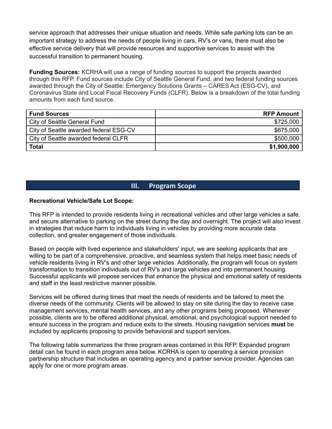service approach that addresses their unique situation and needs. While safe parking lots can be an important strategy to address the needs of people living in cars, RV's or vans, there must also be effective service delivery that will provide resources and supportive services to assist with the successful transition to permanent housing.

**Funding Sources:** KCRHA will use a range of funding sources to support the projects awarded through this RFP. Fund sources include City of Seattle General Fund, and two federal funding sources awarded through the City of Seattle: Emergency Solutions Grants – CARES Act (ESG-CV), and Coronavirus State and Local Fiscal Recovery Funds (CLFR). Below is a breakdown of the total funding amounts from each fund source.

| <b>Fund Sources</b>                    | <b>RFP Amount</b> |
|----------------------------------------|-------------------|
| City of Seattle General Fund           | \$725,000         |
| City of Seattle awarded federal ESG-CV | \$675,000         |
| City of Seattle awarded federal CLFR   | \$500,000         |
| <b>Total</b>                           | \$1,900,000       |

## **III. Program Scope**

#### **Recreational Vehicle/Safe Lot Scope:**

This RFP is intended to provide residents living in recreational vehicles and other large vehicles a safe, and secure alternative to parking on the street during the day and overnight. The project will also invest in strategies that reduce harm to individuals living in vehicles by providing more accurate data collection, and greater engagement of those individuals.

Based on people with lived experience and stakeholders' input, we are seeking applicants that are willing to be part of a comprehensive, proactive, and seamless system that helps meet basic needs of vehicle residents living in RV's and other large vehicles. Additionally, the program will focus on system transformation to transition individuals out of RV's and large vehicles and into permanent housing. Successful applicants will propose services that enhance the physical and emotional safety of residents and staff in the least restrictive manner possible.

Services will be offered during times that meet the needs of residents and be tailored to meet the diverse needs of the community. Clients will be allowed to stay on site during the day to receive case management services, mental health services, and any other programs being proposed. Whenever possible, clients are to be offered additional physical, emotional, and psychological support needed to ensure success in the program and reduce exits to the streets. Housing navigation services **must** be included by applicants proposing to provide behavioral and support services.

The following table summarizes the three program areas contained in this RFP. Expanded program detail can be found in each program area below. KCRHA is open to operating a service provision partnership structure that includes an operating agency and a partner service provider. Agencies can apply for one or more program areas.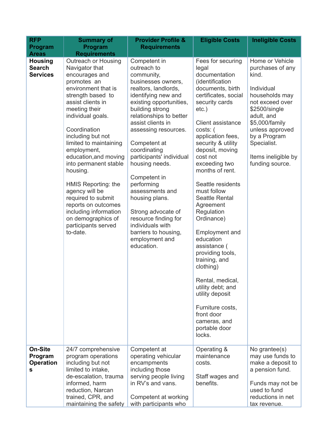| <b>RFP</b><br>Program                              | <b>Summary of</b><br>Program                                                                                                                                                                                                                                                                                                                                                                                                                                                                      | <b>Provider Profile &amp;</b><br><b>Requirements</b>                                                                                                                                                                                                                                                                                                                                                                                                                                                            | <b>Eligible Costs</b>                                                                                                                                                                                                                                                                                                                                                                                                                                                                                                                                                                                                            | <b>Ineligible Costs</b>                                                                                                                                                                                                                      |
|----------------------------------------------------|---------------------------------------------------------------------------------------------------------------------------------------------------------------------------------------------------------------------------------------------------------------------------------------------------------------------------------------------------------------------------------------------------------------------------------------------------------------------------------------------------|-----------------------------------------------------------------------------------------------------------------------------------------------------------------------------------------------------------------------------------------------------------------------------------------------------------------------------------------------------------------------------------------------------------------------------------------------------------------------------------------------------------------|----------------------------------------------------------------------------------------------------------------------------------------------------------------------------------------------------------------------------------------------------------------------------------------------------------------------------------------------------------------------------------------------------------------------------------------------------------------------------------------------------------------------------------------------------------------------------------------------------------------------------------|----------------------------------------------------------------------------------------------------------------------------------------------------------------------------------------------------------------------------------------------|
| <b>Areas</b>                                       | <b>Requirements</b>                                                                                                                                                                                                                                                                                                                                                                                                                                                                               |                                                                                                                                                                                                                                                                                                                                                                                                                                                                                                                 |                                                                                                                                                                                                                                                                                                                                                                                                                                                                                                                                                                                                                                  |                                                                                                                                                                                                                                              |
| <b>Housing</b><br><b>Search</b><br><b>Services</b> | Outreach or Housing<br>Navigator that<br>encourages and<br>promotes an<br>environment that is<br>strength based to<br>assist clients in<br>meeting their<br>individual goals.<br>Coordination<br>including but not<br>limited to maintaining<br>employment,<br>education, and moving<br>into permanent stable<br>housing.<br>HMIS Reporting: the<br>agency will be<br>required to submit<br>reports on outcomes<br>including information<br>on demographics of<br>participants served<br>to-date. | Competent in<br>outreach to<br>community,<br>businesses owners,<br>realtors, landlords,<br>identifying new and<br>existing opportunities,<br>building strong<br>relationships to better<br>assist clients in<br>assessing resources.<br>Competent at<br>coordinating<br>participants' individual<br>housing needs.<br>Competent in<br>performing<br>assessments and<br>housing plans.<br>Strong advocate of<br>resource finding for<br>individuals with<br>barriers to housing,<br>employment and<br>education. | Fees for securing<br>legal<br>documentation<br>(identification<br>documents, birth<br>certificates, social<br>security cards<br>$etc.$ )<br>Client assistance<br>costs: (<br>application fees,<br>security & utility<br>deposit, moving<br>cost not<br>exceeding two<br>months of rent.<br>Seattle residents<br>must follow<br>Seattle Rental<br>Agreement<br>Regulation<br>Ordinance)<br>Employment and<br>education<br>assistance (<br>providing tools,<br>training, and<br>clothing)<br>Rental, medical,<br>utility debt; and<br>utility deposit<br>Furniture costs,<br>front door<br>cameras, and<br>portable door<br>locks. | Home or Vehicle<br>purchases of any<br>kind.<br>Individual<br>households may<br>not exceed over<br>\$2500/single<br>adult, and<br>\$5,000/family<br>unless approved<br>by a Program<br>Specialist.<br>Items ineligible by<br>funding source. |
| <b>On-Site</b><br>Program<br><b>Operation</b><br>s | 24/7 comprehensive<br>program operations<br>including but not<br>limited to intake,<br>de-escalation, trauma<br>informed, harm<br>reduction, Narcan<br>trained, CPR, and<br>maintaining the safety                                                                                                                                                                                                                                                                                                | Competent at<br>operating vehicular<br>encampments<br>including those<br>serving people living<br>in RV's and vans.<br>Competent at working<br>with participants who                                                                                                                                                                                                                                                                                                                                            | Operating &<br>maintenance<br>costs.<br>Staff wages and<br>benefits.                                                                                                                                                                                                                                                                                                                                                                                                                                                                                                                                                             | No grantee(s)<br>may use funds to<br>make a deposit to<br>a pension fund.<br>Funds may not be<br>used to fund<br>reductions in net<br>tax revenue.                                                                                           |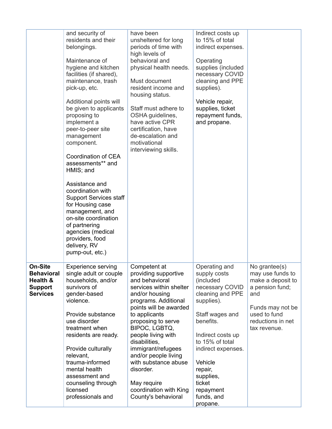|                                                                                      | and security of<br>residents and their<br>belongings.<br>Maintenance of<br>hygiene and kitchen<br>facilities (if shared),<br>maintenance, trash<br>pick-up, etc.<br>Additional points will<br>be given to applicants<br>proposing to<br>implement a<br>peer-to-peer site<br>management<br>component.<br>Coordination of CEA<br>assessments** and<br>HMIS; and<br>Assistance and<br>coordination with<br><b>Support Services staff</b><br>for Housing case<br>management, and<br>on-site coordination<br>of partnering<br>agencies (medical<br>providers, food<br>delivery, RV<br>pump-out, etc.) | have been<br>unsheltered for long<br>periods of time with<br>high levels of<br>behavioral and<br>physical health needs.<br>Must document<br>resident income and<br>housing status.<br>Staff must adhere to<br>OSHA guidelines,<br>have active CPR<br>certification, have<br>de-escalation and<br>motivational<br>interviewing skills.                                                                   | Indirect costs up<br>to 15% of total<br>indirect expenses.<br>Operating<br>supplies (included<br>necessary COVID<br>cleaning and PPE<br>supplies).<br>Vehicle repair,<br>supplies, ticket<br>repayment funds,<br>and propane.                                                     |                                                                                                                                                           |
|--------------------------------------------------------------------------------------|--------------------------------------------------------------------------------------------------------------------------------------------------------------------------------------------------------------------------------------------------------------------------------------------------------------------------------------------------------------------------------------------------------------------------------------------------------------------------------------------------------------------------------------------------------------------------------------------------|---------------------------------------------------------------------------------------------------------------------------------------------------------------------------------------------------------------------------------------------------------------------------------------------------------------------------------------------------------------------------------------------------------|-----------------------------------------------------------------------------------------------------------------------------------------------------------------------------------------------------------------------------------------------------------------------------------|-----------------------------------------------------------------------------------------------------------------------------------------------------------|
| <b>On-Site</b><br><b>Behavioral</b><br>Health &<br><b>Support</b><br><b>Services</b> | <b>Experience serving</b><br>single adult or couple<br>households, and/or<br>survivors of<br>gender-based<br>violence.<br>Provide substance<br>use disorder<br>treatment when<br>residents are ready.<br>Provide culturally<br>relevant,<br>trauma-informed<br>mental health<br>assessment and<br>counseling through<br>licensed<br>professionals and                                                                                                                                                                                                                                            | Competent at<br>providing supportive<br>and behavioral<br>services within shelter<br>and/or housing<br>programs. Additional<br>points will be awarded<br>to applicants<br>proposing to serve<br>BIPOC, LGBTQ,<br>people living with<br>disabilities.<br>immigrant/refugees<br>and/or people living<br>with substance abuse<br>disorder.<br>May require<br>coordination with King<br>County's behavioral | Operating and<br>supply costs<br>(included<br>necessary COVID<br>cleaning and PPE<br>supplies).<br>Staff wages and<br>benefits.<br>Indirect costs up<br>to 15% of total<br>indirect expenses.<br>Vehicle<br>repair,<br>supplies,<br>ticket<br>repayment<br>funds, and<br>propane. | No grantee(s)<br>may use funds to<br>make a deposit to<br>a pension fund;<br>and<br>Funds may not be<br>used to fund<br>reductions in net<br>tax revenue. |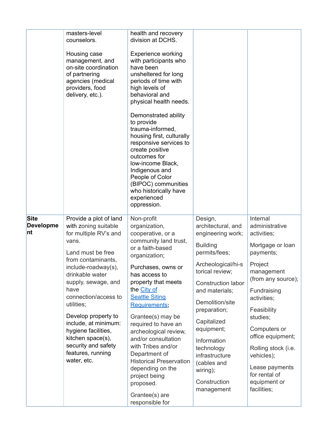|                                       | masters-level<br>counselors.<br>Housing case<br>management, and<br>on-site coordination<br>of partnering<br>agencies (medical<br>providers, food<br>delivery, etc.).                                                                                                                                                                                                                             | health and recovery<br>division at DCHS.<br><b>Experience working</b><br>with participants who<br>have been<br>unsheltered for long<br>periods of time with<br>high levels of<br>behavioral and<br>physical health needs.<br>Demonstrated ability<br>to provide<br>trauma-informed,<br>housing first, culturally<br>responsive services to<br>create positive<br>outcomes for<br>low-income Black,<br>Indigenous and<br>People of Color<br>(BIPOC) communities<br>who historically have<br>experienced<br>oppression. |                                                                                                                                                                                                                                                                                                                                                 |                                                                                                                                                                                                                                                                                                                                |
|---------------------------------------|--------------------------------------------------------------------------------------------------------------------------------------------------------------------------------------------------------------------------------------------------------------------------------------------------------------------------------------------------------------------------------------------------|-----------------------------------------------------------------------------------------------------------------------------------------------------------------------------------------------------------------------------------------------------------------------------------------------------------------------------------------------------------------------------------------------------------------------------------------------------------------------------------------------------------------------|-------------------------------------------------------------------------------------------------------------------------------------------------------------------------------------------------------------------------------------------------------------------------------------------------------------------------------------------------|--------------------------------------------------------------------------------------------------------------------------------------------------------------------------------------------------------------------------------------------------------------------------------------------------------------------------------|
| <b>Site</b><br><b>Developme</b><br>nt | Provide a plot of land<br>with zoning suitable<br>for multiple RV's and<br>vans.<br>Land must be free<br>from contaminants,<br>include-roadway(s),<br>drinkable water<br>supply, sewage, and<br>have<br>connection/access to<br>utilities;<br>Develop property to<br>include, at minimum:<br>hygiene facilities,<br>kitchen space(s),<br>security and safety<br>features, running<br>water, etc. | Non-profit<br>organization,<br>cooperative, or a<br>community land trust,<br>or a faith-based<br>organization;<br>Purchases, owns or<br>has access to<br>property that meets<br>the City of<br><b>Seattle Siting</b><br><b>Requirements;</b><br>Grantee(s) may be<br>required to have an<br>archeological review,<br>and/or consultation<br>with Tribes and/or<br>Department of<br><b>Historical Preservation</b><br>depending on the<br>project being<br>proposed.<br>Grantee(s) are<br>responsible for              | Design,<br>architectural, and<br>engineering work;<br><b>Building</b><br>permits/fees;<br>Archeological/hi-s<br>torical review;<br>Construction labor<br>and materials;<br>Demolition/site<br>preparation;<br>Capitalized<br>equipment;<br>Information<br>technology<br>infrastructure<br>(cables and<br>wiring);<br>Construction<br>management | Internal<br>administrative<br>activities;<br>Mortgage or loan<br>payments;<br>Project<br>management<br>(from any source);<br>Fundraising<br>activities:<br>Feasibility<br>studies;<br>Computers or<br>office equipment;<br>Rolling stock (i.e.<br>vehicles);<br>Lease payments<br>for rental of<br>equipment or<br>facilities; |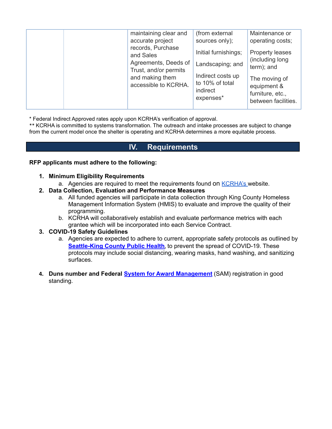| maintaining clear and                         | (from external                                                | Maintenance or                                                          |
|-----------------------------------------------|---------------------------------------------------------------|-------------------------------------------------------------------------|
| accurate project                              | sources only);                                                | operating costs;                                                        |
| records, Purchase<br>and Sales                | Initial furnishings;                                          | <b>Property leases</b><br>(including long)                              |
| Agreements, Deeds of<br>Trust, and/or permits | Landscaping; and                                              | term); and                                                              |
| and making them<br>accessible to KCRHA.       | Indirect costs up<br>to 10% of total<br>indirect<br>expenses* | The moving of<br>equipment &<br>furniture, etc.,<br>between facilities. |

\* Federal Indirect Approved rates apply upon KCRHA's verification of approval.

\*\* KCRHA is committed to systems transformation. The outreach and intake processes are subject to change from the current model once the shelter is operating and KCRHA determines a more equitable process.

# **IV. Requirements**

#### **RFP applicants must adhere to the following:**

- **1. Minimum Eligibility Requirements**
	- a. Agencies are required to meet the requirements found on **[KCRHA's](https://kcrha.org/funding-opportunities/)** website.
- **2. Data Collection, Evaluation and Performance Measures**
	- a. All funded agencies will participate in data collection through King County Homeless Management Information System (HMIS) to evaluate and improve the quality of their programming.
	- b. KCRHA will collaboratively establish and evaluate performance metrics with each grantee which will be incorporated into each Service Contract.

#### **3. COVID-19 Safety Guidelines**

- a. Agencies are expected to adhere to current, appropriate safety protocols as outlined by **[Seattle-King](https://www.kingcounty.gov/depts/health/covid-19.aspx) County Public Health**, to prevent the spread of COVID-19. These protocols may include social distancing, wearing masks, hand washing, and sanitizing surfaces.
- **4. Duns number and Federal System for Award [Management](https://www.sam.gov/SAM/)** (SAM) registration in good standing.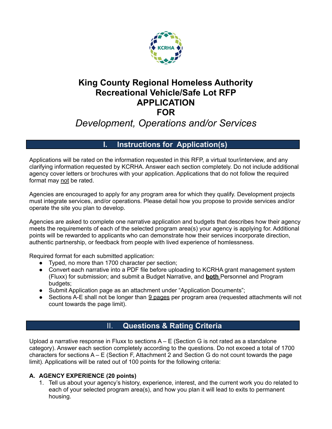

# **King County Regional Homeless Authority Recreational Vehicle/Safe Lot RFP APPLICATION FOR**

# *Development, Operations and/or Services*

# **Instructions for Application(s)**

Applications will be rated on the information requested in this RFP, a virtual tour/interview, and any clarifying information requested by KCRHA. Answer each section completely. Do not include additional agency cover letters or brochures with your application. Applications that do not follow the required format may not be rated.

Agencies are encouraged to apply for any program area for which they qualify. Development projects must integrate services, and/or operations. Please detail how you propose to provide services and/or operate the site you plan to develop.

Agencies are asked to complete one narrative application and budgets that describes how their agency meets the requirements of each of the selected program area(s) your agency is applying for. Additional points will be rewarded to applicants who can demonstrate how their services incorporate direction, authentic partnership, or feedback from people with lived experience of homlessness.

Required format for each submitted application:

- Typed, no more than 1700 character per section:
- Convert each narrative into a PDF file before uploading to KCRHA grant management system (Fluxx) for submission; and submit a Budget Narrative, and **both** Personnel and Program budgets;
- Submit Application page as an attachment under "Application Documents";
- Sections A-E shall not be longer than 9 pages per program area (requested attachments will not count towards the page limit).

# II. **Questions & Rating Criteria**

Upload a narrative response in Fluxx to sections  $A - E$  (Section G is not rated as a standalone category). Answer each section completely according to the questions. Do not exceed a total of 1700 characters for sections A – E (Section F, Attachment 2 and Section G do not count towards the page limit). Applications will be rated out of 100 points for the following criteria:

# **A. AGENCY EXPERIENCE (20 points)**

1. Tell us about your agency's history, experience, interest, and the current work you do related to each of your selected program area(s), and how you plan it will lead to exits to permanent housing.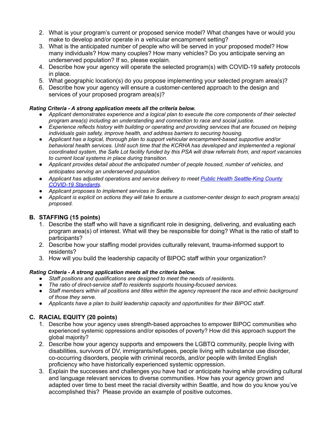- 2. What is your program's current or proposed service model? What changes have or would you make to develop and/or operate in a vehicular encampment setting?
- 3. What is the anticipated number of people who will be served in your proposed model? How many individuals? How many couples? How many vehicles? Do you anticipate serving an underserved population? If so, please explain.
- 4. Describe how your agency will operate the selected program(s) with COVID-19 safety protocols in place.
- 5. What geographic location(s) do you propose implementing your selected program area(s)?
- 6. Describe how your agency will ensure a customer-centered approach to the design and services of your proposed program area(s)?

### *Rating Criteria - A strong application meets all the criteria below.*

- *● Applicant demonstrates experience and a logical plan to execute the core components of their selected program area(s) including an understanding and connection to race and social justice.*
- *● Experience reflects history with building or operating and providing services that are focused on helping individuals gain safety, improve health, and address barriers to securing housing.*
- *● Applicant has a logical, thorough plan to support vehicular encampment-based supportive and/or behavioral health services. Until such time that the KCRHA has developed and implemented a regional* coordinated system, the Safe Lot facility funded by this PSA will draw referrals from, and report vacancies *to current local systems in place during transition.*
- *● Applicant provides detail about the anticipated number of people housed, number of vehicles, and anticipates serving an underserved population.*
- *● Applicant has adjusted operations and service delivery to meet Public Health [Seattle-King](https://www.kingcounty.gov/depts/health/covid-19/providers.aspx) County [COVID-19](https://www.kingcounty.gov/depts/health/covid-19/providers.aspx) Standards.*
- *● Applicant proposes to implement services in Seattle.*
- Applicant is explicit on actions they will take to ensure a customer-center design to each program area(s) *proposed.*

## **B. STAFFING (15 points)**

- 1. Describe the staff who will have a significant role in designing, delivering, and evaluating each program area(s) of interest. What will they be responsible for doing? What is the ratio of staff to participants?
- 2. Describe how your staffing model provides culturally relevant, trauma-informed support to residents?
- 3. How will you build the leadership capacity of BIPOC staff within your organization?

## *Rating Criteria - A strong application meets all the criteria below.*

- *● Staff positions and qualifications are designed to meet the needs of residents.*
- *● The ratio of direct-service staff to residents supports housing-focused services.*
- Staff members within all positions and titles within the agency represent the race and ethnic background *of those they serve.*
- *Applicants have a plan to build leadership capacity and opportunities for their BIPOC staff*.

# **C. RACIAL EQUITY (20 points)**

- 1. Describe how your agency uses strength-based approaches to empower BIPOC communities who experienced systemic oppressions and/or episodes of poverty? How did this approach support the global majority?
- 2. Describe how your agency supports and empowers the LGBTQ community, people living with disabilities, survivors of DV, immigrants/refugees, people living with substance use disorder, co-occurring disorders, people with criminal records, and/or people with limited English proficiency who have historically experienced systemic oppression.
- 3. Explain the successes and challenges you have had or anticipate having while providing cultural and language relevant services to diverse communities. How has your agency grown and adapted over time to best meet the racial diversity within Seattle, and how do you know you've accomplished this? Please provide an example of positive outcomes.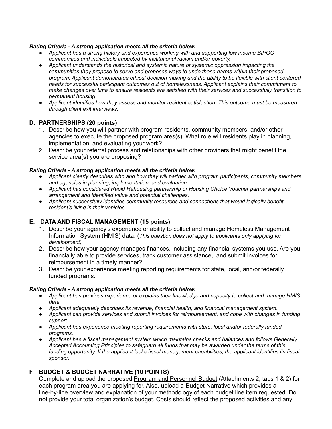#### *Rating Criteria - A strong application meets all the criteria below.*

- *● Applicant has a strong history and experience working with and supporting low income BIPOC communities and individuals impacted by institutional racism and/or poverty.*
- *● Applicant understands the historical and systemic nature of systemic oppression impacting the communities they propose to serve and proposes ways to undo these harms within their proposed program. Applicant demonstrates ethical decision making and the ability to be flexible with client centered needs for successful participant outcomes out of homelessness. Applicant explains their commitment to make changes over time to ensure residents are satisfied with their services and successfully transition to permanent housing.*
- *● Applicant identifies how they assess and monitor resident satisfaction. This outcome must be measured through client exit interviews.*

#### **D. PARTNERSHIPS (20 points)**

- 1. Describe how you will partner with program residents, community members, and/or other agencies to execute the proposed program ares(s). What role will residents play in planning, implementation, and evaluating your work?
- 2. Describe your referral process and relationships with other providers that might benefit the service area(s) you are proposing?

#### *Rating Criteria - A strong application meets all the criteria below.*

- *● Applicant clearly describes who and how they will partner with program participants, community members and agencies in planning, implementation, and evaluation.*
- *● Applicant has considered Rapid Rehousing partnership or Housing Choice Voucher partnerships and arrangement and identified value and potential challenges.*
- *● Applicant successfully identifies community resources and connections that would logically benefit resident's living in their vehicles.*

#### **E. DATA AND FISCAL MANAGEMENT (15 points)**

- 1. Describe your agency's experience or ability to collect and manage Homeless Management Information System (HMIS) data. (*This question does not apply to applicants only applying for development)*
- 2. Describe how your agency manages finances, including any financial systems you use. Are you financially able to provide services, track customer assistance, and submit invoices for reimbursement in a timely manner?
- 3. Describe your experience meeting reporting requirements for state, local, and/or federally funded programs.

#### *Rating Criteria - A strong application meets all the criteria below.*

- *● Applicant has previous experience or explains their knowledge and capacity to collect and manage HMIS data.*
- *● Applicant adequately describes its revenue, financial health, and financial management system.*
- *● Applicant can provide services and submit invoices for reimbursement, and cope with changes in funding support.*
- *● Applicant has experience meeting reporting requirements with state, local and/or federally funded programs.*
- *● Applicant has a fiscal management system which maintains checks and balances and follows Generally Accepted Accounting Principles to safeguard all funds that may be awarded under the terms of this funding opportunity. If the applicant lacks fiscal management capabilities, the applicant identifies its fiscal sponsor.*

#### **F. BUDGET & BUDGET NARRATIVE (10 POINTS)**

Complete and upload the proposed Program and Personnel Budget (Attachments 2, tabs 1 & 2) for each program area you are applying for. Also, upload a Budget Narrative which provides a line-by-line overview and explanation of your methodology of each budget line item requested. Do not provide your total organization's budget. Costs should reflect the proposed activities and any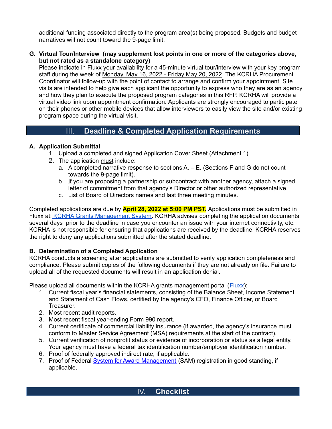additional funding associated directly to the program area(s) being proposed. Budgets and budget narratives will not count toward the 9‐page limit.

**G. Virtual Tour/Interview (may supplement lost points in one or more of the categories above, but not rated as a standalone category)**

Please indicate in Fluxx your availability for a 45-minute virtual tour/interview with your key program staff during the week of Monday, May 16, 2022 - Friday May 20, 2022. The KCRHA Procurement Coordinator will follow-up with the point of contact to arrange and confirm your appointment. Site visits are intended to help give each applicant the opportunity to express who they are as an agency and how they plan to execute the proposed program categories in this RFP. KCRHA will provide a virtual video link upon appointment confirmation. Applicants are strongly encouraged to participate on their phones or other mobile devices that allow interviewers to easily view the site and/or existing program space during the virtual visit.

# III. **Deadline & Completed Application Requirements**

## **A. Application Submittal**

- 1. Upload a completed and signed Application Cover Sheet (Attachment 1).
- 2. The application must include:
	- a. A completed narrative response to sections  $A E$ . (Sections F and G do not count towards the 9-page limit).
	- b. If you are proposing a partnership or subcontract with another agency, attach a signed letter of commitment from that agency's Director or other authorized representative.
	- c. List of Board of Directors names and last three meeting minutes.

Completed applications are due by **April 28, 2022 at 5:00 PM PST.** Applications must be submitted in Fluxx at: KCRHA Grants [Management](https://kcrha-grants.fluxx.io/user_sessions/new) System. KCRHA advises completing the application documents several days prior to the deadline in case you encounter an issue with your internet connectivity, etc. KCRHA is not responsible for ensuring that applications are received by the deadline. KCRHA reserves the right to deny any applications submitted after the stated deadline.

## **B. Determination of a Completed Application**

KCRHA conducts a screening after applications are submitted to verify application completeness and compliance. Please submit copies of the following documents if they are not already on file. Failure to upload all of the requested documents will result in an application denial.

Please upload all documents within the KCRHA grants management portal  $(Flux)$ :

- 1. Current fiscal year's financial statements, consisting of the Balance Sheet, Income Statement and Statement of Cash Flows, certified by the agency's CFO, Finance Officer, or Board Treasurer.
- 2. Most recent audit reports.
- 3. Most recent fiscal year-ending Form 990 report.
- 4. Current certificate of commercial liability insurance (if awarded, the agency's insurance must conform to Master Service Agreement (MSA) requirements at the start of the contract).
- 5. Current verification of nonprofit status or evidence of incorporation or status as a legal entity. Your agency must have a federal tax identification number/employer identification number.
- 6. Proof of federally approved indirect rate, if applicable.
- 7. Proof of Federal System for Award [Management](https://www.sam.gov/SAM/) (SAM) registration in good standing, if applicable.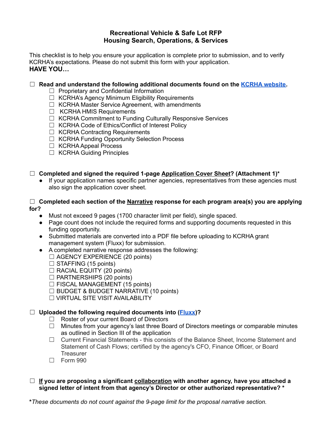## **Recreational Vehicle & Safe Lot RFP Housing Search, Operations, & Services**

This checklist is to help you ensure your application is complete prior to submission, and to verify KCRHA's expectations. Please do not submit this form with your application. **HAVE YOU…**

#### ☐ **Read and understand the following additional documents found on the KCRHA [website.](https://kcrha.org/funding-opportunities/)**

- ☐ Proprietary and Confidential Information
- ☐ KCRHA's Agency Minimum Eligibility Requirements
- $\Box$  KCRHA Master Service Agreement, with amendments
- ☐ KCRHA HMIS Requirements
- □ KCRHA Commitment to Funding Culturally Responsive Services
- ☐ KCRHA Code of Ethics/Conflict of Interest Policy
- ☐ KCRHA Contracting Requirements
- ☐ KCRHA Funding Opportunity Selection Process
- ☐ KCRHA Appeal Process
- ☐ KCRHA Guiding Principles

### ☐ **Completed and signed the required 1-page Application Cover Sheet? (Attachment 1)\***

**●** If your application names specific partner agencies, representatives from these agencies must also sign the application cover sheet.

#### ☐ **Completed each section of the Narrative response for each program area(s) you are applying for?**

- Must not exceed 9 pages (1700 character limit per field), single spaced.
- Page count does not include the required forms and supporting documents requested in this funding opportunity.
- Submitted materials are converted into a PDF file before uploading to KCRHA grant management system (Fluxx) for submission.
- **●** A completed narrative response addresses the following:
	- $\Box$  AGENCY EXPERIENCE (20 points)
	- $\Box$  STAFFING (15 points)
	- $\Box$  RACIAL EQUITY (20 points)
	- ☐ PARTNERSHIPS (20 points)
	- $\Box$  FISCAL MANAGEMENT (15 points)
	- $\Box$  BUDGET & BUDGET NARRATIVE (10 points)
	- ☐ VIRTUAL SITE VISIT AVAILABILITY

## ☐ **Uploaded the following required documents into ([Fluxx](https://kcrha-grants.fluxx.io/user_sessions/new))?**

- ☐ Roster of your current Board of Directors
- $\Box$  Minutes from your agency's last three Board of Directors meetings or comparable minutes as outlined in Section III of the application
- ☐ Current Financial Statements this consists of the Balance Sheet, Income Statement and Statement of Cash Flows; certified by the agency's CFO, Finance Officer, or Board **Treasurer**
- ☐ Form 990
- ☐ **If you are proposing a significant collaboration with another agency, have you attached a signed letter of intent from that agency's Director or other authorized representative? \***

**\****These documents do not count against the 9-page limit for the proposal narrative section.*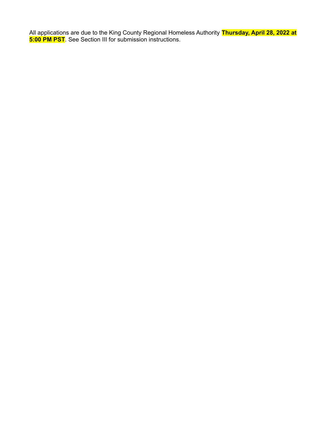All applications are due to the King County Regional Homeless Authority **Thursday, April 28, 2022 at 5:00 PM PST**. See Section III for submission instructions.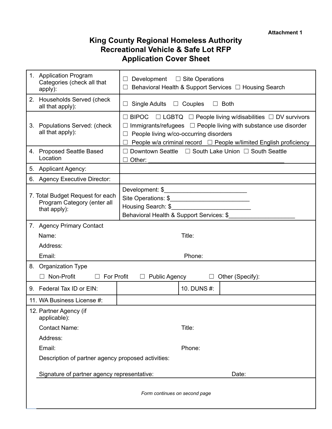# **King County Regional Homeless Authority Recreational Vehicle & Safe Lot RFP Application Cover Sheet**

| 1. Application Program<br>Categories (check all that<br>apply):                 | Development $\square$ Site Operations<br>Behavioral Health & Support Services □ Housing Search                                                                                                                                                                                   |  |
|---------------------------------------------------------------------------------|----------------------------------------------------------------------------------------------------------------------------------------------------------------------------------------------------------------------------------------------------------------------------------|--|
| 2. Households Served (check<br>all that apply):                                 | $\Box$ Couples<br>Single Adults<br>$\Box$ Both<br>$\Box$                                                                                                                                                                                                                         |  |
| 3. Populations Served: (check<br>all that apply):                               | $\Box$ LGBTQ $\Box$ People living w/disabilities $\Box$ DV survivors<br>$\Box$ BIPOC<br>Immigrants/refugees $\Box$ People living with substance use disorder<br>People living w/co-occurring disorders<br>People w/a criminal record $\Box$ People w/limited English proficiency |  |
| 4. Proposed Seattle Based<br>Location                                           | Downtown Seattle □ South Lake Union □ South Seattle<br>Other:                                                                                                                                                                                                                    |  |
| 5. Applicant Agency:                                                            |                                                                                                                                                                                                                                                                                  |  |
| 6. Agency Executive Director:                                                   |                                                                                                                                                                                                                                                                                  |  |
| 7. Total Budget Request for each<br>Program Category (enter all<br>that apply): | Behavioral Health & Support Services: \$                                                                                                                                                                                                                                         |  |
| 7. Agency Primary Contact                                                       |                                                                                                                                                                                                                                                                                  |  |
| Name:                                                                           | Title:                                                                                                                                                                                                                                                                           |  |
| Address:                                                                        |                                                                                                                                                                                                                                                                                  |  |
| Email:                                                                          | Phone:                                                                                                                                                                                                                                                                           |  |
| 8. Organization Type                                                            |                                                                                                                                                                                                                                                                                  |  |
| Non-Profit<br>$\Box$ For Profit                                                 | $\Box$ Public Agency<br>$\Box$ Other (Specify):                                                                                                                                                                                                                                  |  |
| 9. Federal Tax ID or EIN:                                                       | 10. DUNS #:                                                                                                                                                                                                                                                                      |  |
| 11. WA Business License #:                                                      |                                                                                                                                                                                                                                                                                  |  |
| 12. Partner Agency (if<br>applicable):                                          |                                                                                                                                                                                                                                                                                  |  |
| <b>Contact Name:</b>                                                            | Title:                                                                                                                                                                                                                                                                           |  |
| Address:                                                                        |                                                                                                                                                                                                                                                                                  |  |
| Email:                                                                          | Phone:                                                                                                                                                                                                                                                                           |  |
| Description of partner agency proposed activities:                              |                                                                                                                                                                                                                                                                                  |  |
| Signature of partner agency representative:                                     | Date:                                                                                                                                                                                                                                                                            |  |
| Form continues on second page                                                   |                                                                                                                                                                                                                                                                                  |  |